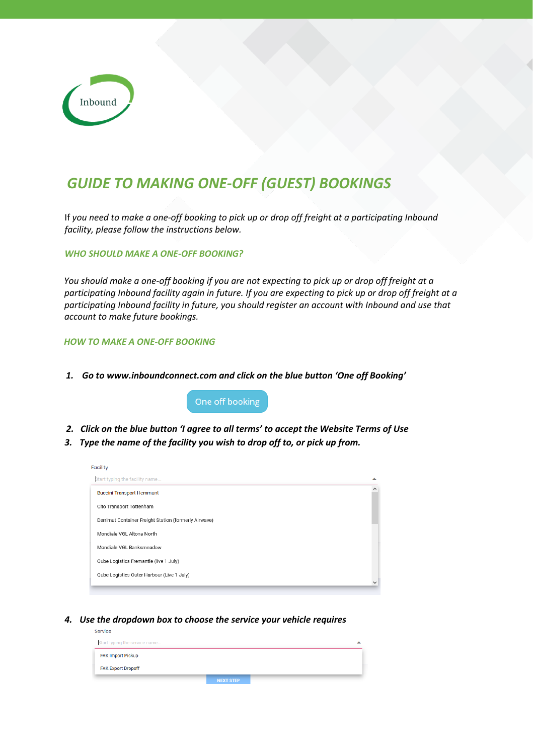

## *GUIDE TO MAKING ONE-OFF (GUEST) BOOKINGS*

If *you need to make a one-off booking to pick up or drop off freight at a participating Inbound facility, please follow the instructions below.* 

*WHO SHOULD MAKE A ONE-OFF BOOKING?* 

*You should make a one-off booking if you are not expecting to pick up or drop off freight at a participating Inbound facility again in future. If you are expecting to pick up or drop off freight at a participating Inbound facility in future, you should register an account with Inbound and use that account to make future bookings.* 

## *HOW TO MAKE A ONE-OFF BOOKING*

Service

*1. Go to www.inboundconnect.com and click on the blue button 'One off Booking'*

One off booking

- *2. Click on the blue button 'I agree to all terms' to accept the Website Terms of Use*
- *3. Type the name of the facility you wish to drop off to, or pick up from.*

| <b>Facility</b>                                       |   |
|-------------------------------------------------------|---|
| Start typing the facility name                        | ▴ |
| <b>Buccini Transport Hemmant</b>                      |   |
| Cito Transport Tottenham                              |   |
| Derrimut Container Freight Station (formerly Airwave) |   |
| Mondiale VGL Altona North                             |   |
| Mondiale VGL Banksmeadow                              |   |
| Qube Logistics Fremantle (live 1 July)                |   |
| Qube Logistics Outer Harbour (Live 1 July)            |   |
|                                                       |   |

*4. Use the dropdown box to choose the service your vehicle requires* 

| Start typing the service name |                  |  |
|-------------------------------|------------------|--|
| <b>FAK Import Pickup</b>      |                  |  |
| <b>FAK Export Dropoff</b>     |                  |  |
|                               | <b>NEXT STEP</b> |  |